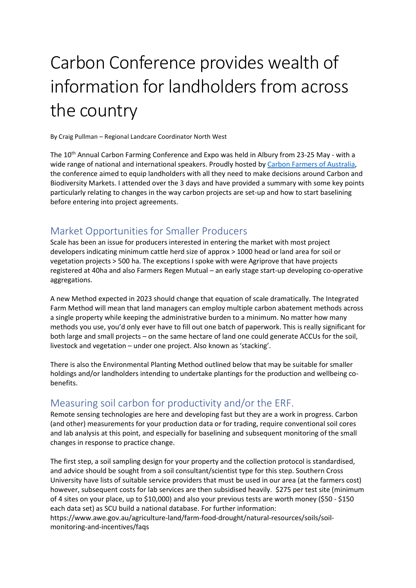# Carbon Conference provides wealth of information for landholders from across the country

By Craig Pullman – Regional Landcare Coordinator North West

The 10<sup>th</sup> Annual Carbon Farming Conference and Expo was held in Albury from 23-25 May - with a wide range of national and international speakers. Proudly hosted by Carbon Farmers of Australia, the conference aimed to equip landholders with all they need to make decisions around Carbon and Biodiversity Markets. I attended over the 3 days and have provided a summary with some key points particularly relating to changes in the way carbon projects are set-up and how to start baselining before entering into project agreements.

#### Market Opportunities for Smaller Producers

Scale has been an issue for producers interested in entering the market with most project developers indicating minimum cattle herd size of approx > 1000 head or land area for soil or vegetation projects > 500 ha. The exceptions I spoke with were Agriprove that have projects registered at 40ha and also Farmers Regen Mutual – an early stage start-up developing co-operative aggregations.

A new Method expected in 2023 should change that equation of scale dramatically. The Integrated Farm Method will mean that land managers can employ multiple carbon abatement methods across a single property while keeping the administrative burden to a minimum. No matter how many methods you use, you'd only ever have to fill out one batch of paperwork. This is really significant for both large and small projects – on the same hectare of land one could generate ACCUs for the soil, livestock and vegetation – under one project. Also known as 'stacking'.

There is also the Environmental Planting Method outlined below that may be suitable for smaller holdings and/or landholders intending to undertake plantings for the production and wellbeing cobenefits.

### Measuring soil carbon for productivity and/or the ERF.

Remote sensing technologies are here and developing fast but they are a work in progress. Carbon (and other) measurements for your production data or for trading, require conventional soil cores and lab analysis at this point, and especially for baselining and subsequent monitoring of the small changes in response to practice change.

The first step, a soil sampling design for your property and the collection protocol is standardised, and advice should be sought from a soil consultant/scientist type for this step. Southern Cross University have lists of suitable service providers that must be used in our area (at the farmers cost) however, subsequent costs for lab services are then subsidised heavily. \$275 per test site (minimum of 4 sites on your place, up to \$10,000) and also your previous tests are worth money (\$50 - \$150 each data set) as SCU build a national database. For further information: https://www.awe.gov.au/agriculture-land/farm-food-drought/natural-resources/soils/soilmonitoring-and-incentives/faqs